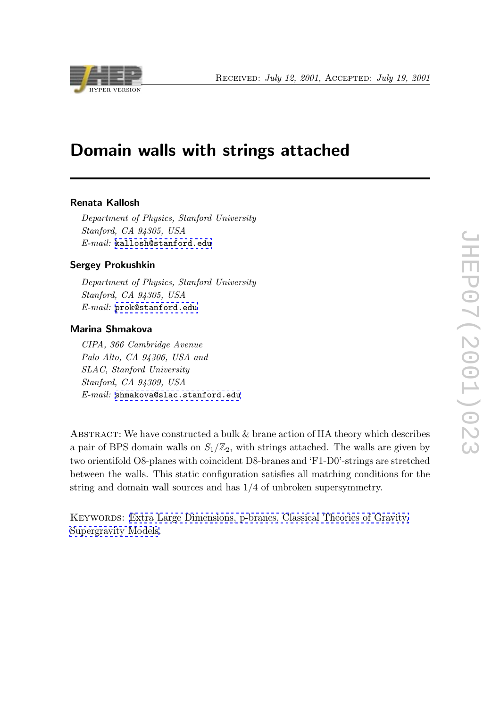

# Domain walls with strings attached

#### Renata Kallosh

Department of Physics, Stanford University Stanford, CA 94305, USA E-mail: kallosh@stanford.edu

#### Sergey Prokushkin

Depart[ment of Physics, Stanford](mailto:kallosh@stanford.edu) University Stanford, CA 94305, USA E-mail: prok@stanford.edu

#### Marina Shmakova

CIPA, 3[66 Cambridge Avenu](mailto:prok@stanford.edu)e Palo Alto, CA 94306, USA and SLAC, Stanford University Stanford, CA 94309, USA  $E-mail:$  shmakova@slac.stanford.edu

ABSTRACT: [We have constructed a bulk](mailto:shmakova@slac.stanford.edu)  $\&$  brane action of IIA theory which describes a pair of BPS domain walls on  $S_1/\mathbb{Z}_2$ , with strings attached. The walls are given by two orientifold O8-planes with coincident D8-branes and 'F1-D0'-strings are stretched between the walls. This static configuration satisfies all matching conditions for the string and domain wall sources and has 1/4 of unbroken supersymmetry.

Keywords: Extra Large Dimensions, p-branes, Classical Theories of Gravity, Supergravity Models.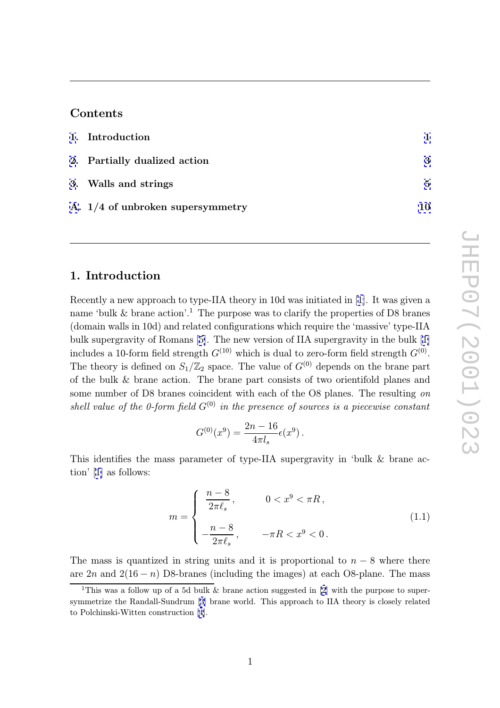## Contents

| 1. Introduction                    |    |
|------------------------------------|----|
| 2. Partially dualized action       | 3  |
| 3. Walls and strings               | 5  |
| A. $1/4$ of unbroken supersymmetry | 10 |

#### 1. Introduction

Recently a new approach to type-IIA theory in 10d was initiated in [1]. It was given a name 'bulk & brane action'.<sup>1</sup> The purpose was to clarify the properties of D8 branes (domain walls in 10d) and related configurations which require the 'massive' type-IIA bulk supergravity of Romans [5]. The new version of IIA supergrav[ity](#page-12-0) in the bulk [1] includes a 10-form field strength  $G^{(10)}$  which is dual to zero-form field strength  $G^{(0)}$ . The theory is defined on  $S_1/\mathbb{Z}_2$  space. The value of  $G^{(0)}$  depends on the brane part of the bulk & brane action. [Th](#page-12-0)e brane part consists of two orientifold planes a[nd](#page-12-0) some number of D8 branes coincident with each of the O8 planes. The resulting on shell value of the 0-form field  $G^{(0)}$  in the presence of sources is a piecewise constant

$$
G^{(0)}(x^9) = \frac{2n - 16}{4\pi l_s} \epsilon(x^9) .
$$

This identifies the mass parameter of type-IIA supergravity in 'bulk & brane action' [1] as follows:

$$
m = \begin{cases} \frac{n-8}{2\pi\ell_s}, & 0 < x^9 < \pi R, \\ -\frac{n-8}{2\pi\ell_s}, & -\pi R < x^9 < 0. \end{cases}
$$
 (1.1)

The mass is quantized in string units and it is proportional to  $n-8$  where there are  $2n$  and  $2(16 - n)$  D8-branes (including the images) at each O8-plane. The mass

<sup>&</sup>lt;sup>1</sup>This was a follow up of a 5d bulk  $\&$  brane action suggested in [2] with the purpose to supersymmetrize the Randall-Sundrum [3] brane world. This approach to IIA theory is closely related to Polchinski-Witten construction [4].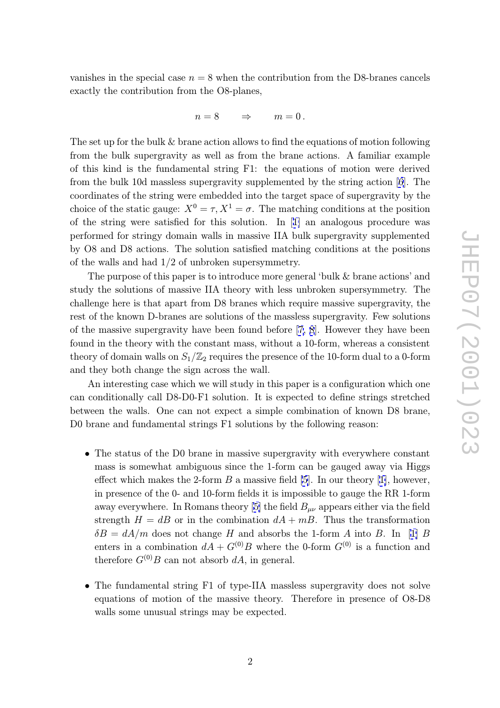vanishes in the special case  $n = 8$  when the contribution from the D8-branes cancels exactly the contribution from the O8-planes,

$$
n=8\qquad\Rightarrow\qquad m=0\,.
$$

The set up for the bulk & brane action allows to find the equations of motion following from the bulk supergravity as well as from the brane actions. A familiar example of this kind is the fundamental string F1: the equations of motion were derived from the bulk 10d massless supergravity supplemented by the string action [6]. The coordinates of the string were embedded into the target space of supergravity by the choice of the static gauge:  $X^0 = \tau, X^1 = \sigma$ . The matching conditions at the position of the string were satisfied for this solution. In [1] an analogous proced[ur](#page-12-0)e was performed for stringy domain walls in massive IIA bulk supergravity supplemented by O8 and D8 actions. The solution satisfied matching conditions at the positions of the walls and had 1/2 of unbroken supersymmet[ry.](#page-12-0)

The purpose of this paper is to introduce more general 'bulk & brane actions' and study the solutions of massive IIA theory with less unbroken supersymmetry. The challenge here is that apart from D8 branes which require massive supergravity, the rest of the known D-branes are solutions of the massless supergravity. Few solutions of the massive supergravity have been found before [7, 8]. However they have been found in the theory with the constant mass, without a 10-form, whereas a consistent theory of domain walls on  $S_1/\mathbb{Z}_2$  requires the presence of the 10-form dual to a 0-form and they both change the sign across the wall.

An interesting case which we will study in this paper is a configuration which one can conditionally call D8-D0-F1 solution. It is expected to define strings stretched between the walls. One can not expect a simple combination of known D8 brane, D0 brane and fundamental strings F1 solutions by the following reason:

- The status of the D0 brane in massive supergravity with everywhere constant mass is somewhat ambiguous since the 1-form can be gauged away via Higgs effect which makes the 2-form  $B$  a massive field [5]. In our theory [1], however, in presence of the 0- and 10-form fields it is impossible to gauge the RR 1-form away everywhere. In Romans theory [5] the field  $B_{\mu\nu}$  appears either via the field strength  $H = dB$  or in the combination  $dA + mB$  $dA + mB$ . Thus the tra[ns](#page-12-0)formation  $\delta B = dA/m$  does not change H and absorbs the 1-form A into B. In [1] B enters in a combination  $dA + G^{(0)}B$  [w](#page-12-0)here the 0-form  $G^{(0)}$  is a function and therefore  $G^{(0)}B$  can not absorb  $dA$ , in general.
- The fundamental string F1 of type-IIA massless supergravity does not [so](#page-12-0)lve equations of motion of the massive theory. Therefore in presence of O8-D8 walls some unusual strings may be expected.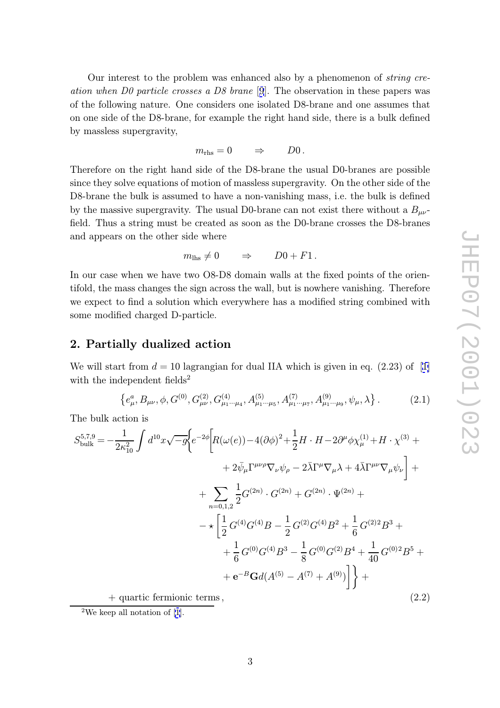<span id="page-3-0"></span>Our interest to the problem was enhanced also by a phenomenon of string creation when D0 particle crosses a D8 brane [9]. The observation in these papers was of the following nature. One considers one isolated D8-brane and one assumes that on one side of the D8-brane, for example the right hand side, there is a bulk defined by massless supergravity,

$$
m_{\rm rhs}=0\qquad\Rightarrow\qquad D0\,.
$$

Therefore on the right hand side of the D8-brane the usual D0-branes are possible since they solve equations of motion of massless supergravity. On the other side of the D8-brane the bulk is assumed to have a non-vanishing mass, i.e. the bulk is defined by the massive supergravity. The usual D0-brane can not exist there without a  $B_{\mu\nu}$ field. Thus a string must be created as soon as the D0-brane crosses the D8-branes and appears on the other side where

$$
m_{\text{lhs}} \neq 0 \qquad \Rightarrow \qquad D0 + F1 \, .
$$

In our case when we have two O8-D8 domain walls at the fixed points of the orientifold, the mass changes the sign across the wall, but is nowhere vanishing. Therefore we expect to find a solution which everywhere has a modified string combined with some modified charged D-particle.

#### 2. Partially dualized action

We will start from  $d = 10$  lagrangian for dual IIA which is given in eq.  $(2.23)$  of [1] with the independent fields<sup>2</sup>

$$
\left\{e_{\mu}^{a},B_{\mu\nu},\phi,G^{(0)},G_{\mu\nu}^{(2)},G_{\mu_{1}\cdots\mu_{4}}^{(4)},A_{\mu_{1}\cdots\mu_{5}}^{(5)},A_{\mu_{1}\cdots\mu_{7}}^{(7)},A_{\mu_{1}\cdots\mu_{9}}^{(9)},\psi_{\mu},\lambda\right\}.
$$
 (2.1)

The bulk action is

$$
S_{\text{bulk}}^{5,7,9} = -\frac{1}{2\kappa_{10}^{2}} \int d^{10}x \sqrt{-g} \Biggl\{ e^{-2\phi} \Biggl[ R(\omega(e)) - 4(\partial\phi)^{2} + \frac{1}{2}H \cdot H - 2\partial^{\mu}\phi \chi_{\mu}^{(1)} + H \cdot \chi^{(3)} + 2\bar{\psi}_{\mu} \Gamma^{\mu\nu\rho} \nabla_{\nu} \psi_{\rho} - 2\bar{\lambda} \Gamma^{\mu} \nabla_{\mu} \lambda + 4\bar{\lambda} \Gamma^{\mu\nu} \nabla_{\mu} \psi_{\nu} \Biggr] + 2\bar{\psi}_{\mu} \Gamma^{\mu\nu\rho} \nabla_{\nu} \psi_{\rho} - 2\bar{\lambda} \Gamma^{\mu} \nabla_{\mu} \lambda + 4\bar{\lambda} \Gamma^{\mu\nu} \nabla_{\mu} \psi_{\nu} \Biggr] + 2\bar{\psi}_{\mu} \Gamma^{\mu\nu\rho} \nabla_{\nu} \psi_{\rho} - 2\bar{\lambda} \Gamma^{\mu} \nabla_{\mu} \lambda + 4\bar{\lambda} \Gamma^{\mu\nu} \nabla_{\mu} \psi_{\nu} \Biggr] + 2\bar{\psi}_{\mu} \Gamma^{\mu\nu\rho} \nabla_{\mu} \psi_{\rho} - 2\bar{\lambda} \Gamma^{\mu} \nabla_{\mu} \lambda + 4\bar{\lambda} \Gamma^{\mu\nu} \nabla_{\mu} \psi_{\nu} \Biggr] + 4\bar{\psi}_{\mu} \Gamma^{\mu\nu\rho} \Biggl\{ e^{-2\phi} \Biggl[ 2\pi \int d^{(2)}x \cdot \nabla_{\mu} \psi_{\rho} - 2\bar{\lambda} \Gamma^{\mu} \nabla_{\mu} \lambda + 4\bar{\lambda} \Gamma^{\mu\nu} \nabla_{\mu} \psi_{\rho} \Biggr] + 4\bar{\psi}_{\mu} \Gamma^{\mu\nu\rho} \nabla_{\mu} \psi_{\rho} - 2\bar{\lambda} \Gamma^{\mu} \nabla_{\mu} \lambda + 4\bar{\lambda} \Gamma^{\mu\nu} \nabla_{\mu} \psi_{\rho} \Biggr] + 4\bar{\psi}_{\mu} \Gamma^{\mu\nu\rho} \Biggl[ 2\pi \int d^{(2)}x \cdot \nabla_{\mu} \psi_{\rho} -
$$

 $+$  quartic fermionic terms,

<sup>2</sup>We keep all notation of [1].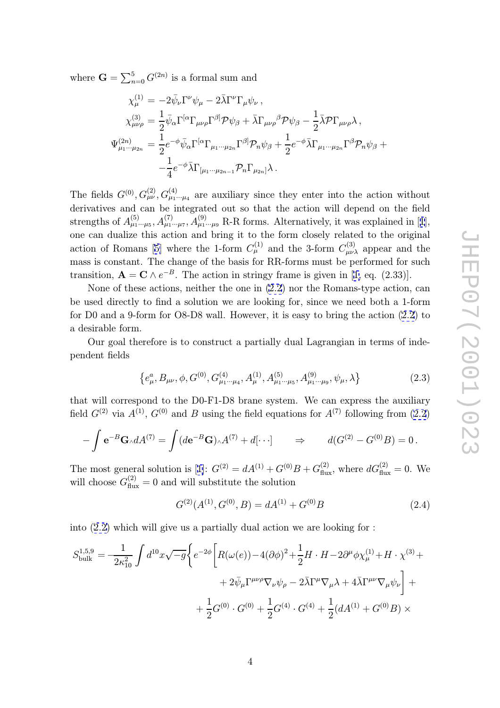<span id="page-4-0"></span>where  $\mathbf{G} = \sum_{n=0}^5$  $_{n=0}^{5} G^{(2n)}$  is a formal sum and

$$
\chi_{\mu}^{(1)} = -2\bar{\psi}_{\nu}\Gamma^{\nu}\psi_{\mu} - 2\bar{\lambda}\Gamma^{\nu}\Gamma_{\mu}\psi_{\nu},
$$
\n
$$
\chi_{\mu\nu\rho}^{(3)} = \frac{1}{2}\bar{\psi}_{\alpha}\Gamma^{[\alpha}\Gamma_{\mu\nu\rho}\Gamma^{\beta]}\mathcal{P}\psi_{\beta} + \bar{\lambda}\Gamma_{\mu\nu\rho}^{\beta}\mathcal{P}\psi_{\beta} - \frac{1}{2}\bar{\lambda}\mathcal{P}\Gamma_{\mu\nu\rho}\lambda,
$$
\n
$$
\Psi_{\mu_1\cdots\mu_{2n}}^{(2n)} = \frac{1}{2}e^{-\phi}\bar{\psi}_{\alpha}\Gamma^{[\alpha}\Gamma_{\mu_1\cdots\mu_{2n}}\Gamma^{\beta]}\mathcal{P}_{n}\psi_{\beta} + \frac{1}{2}e^{-\phi}\bar{\lambda}\Gamma_{\mu_1\cdots\mu_{2n}}\Gamma^{\beta}\mathcal{P}_{n}\psi_{\beta} + \frac{1}{4}e^{-\phi}\bar{\lambda}\Gamma_{[\mu_1\cdots\mu_{2n-1}}\mathcal{P}_{n}\Gamma_{\mu_{2n}}]\lambda.
$$

The fields  $G^{(0)}$ ,  $G^{(2)}_{\mu\nu}$ ,  $G^{(4)}_{\mu_1\cdots\mu_4}$  are auxiliary since they enter into the action without derivatives and can be integrated out so that the action will depend on the field strengths of  $A_{\mu_1\cdots\mu_5}^{(5)}$ ,  $A_{\mu_1\cdots\mu_7}^{(7)}$ ,  $A_{\mu_1\cdots\mu_9}^{(9)}$  R-R forms. Alternatively, it was explained in [1], one can dualize this action and bring it to the form closely related to the original action of Romans [5] where the 1-form  $C_{\mu}^{(1)}$  and the 3-form  $C_{\mu\nu\lambda}^{(3)}$  appear and the mass is constant. The change of the basis for RR-forms must be performed for s[uc](#page-12-0)h transition,  $\mathbf{A} = \mathbf{C} \wedge e^{-B}$ . The action in stringy frame is given in [1, eq. (2.33)].

None of these a[ct](#page-12-0)ions, neither the one in (2.2) nor the Romans-type action, can be used directly to find a solution we are looking for, since we need both a 1-form for D0 and a 9-form for O8-D8 wall. However, it is easy to bring [th](#page-12-0)e action (2.2) to a desirable form.

Our goal therefore is to construct a partially dual Lagrangian in terms of independent fields

$$
\left\{e_{\mu}^{a},B_{\mu\nu},\phi,G^{(0)},G_{\mu_{1}\cdots\mu_{4}}^{(4)},A_{\mu}^{(1)},A_{\mu_{1}\cdots\mu_{5}}^{(5)},A_{\mu_{1}\cdots\mu_{9}}^{(9)},\psi_{\mu},\lambda\right\}
$$
(2.3)

that will correspond to the D0-F1-D8 brane system. We can express the auxiliary field  $G^{(2)}$  via  $A^{(1)}$ ,  $G^{(0)}$  and B using the field equations for  $A^{(7)}$  following from  $(2.2)$ 

$$
-\int \mathbf{e}^{-B} \mathbf{G}_{\wedge} dA^{(7)} = \int (d\mathbf{e}^{-B} \mathbf{G}) \wedge A^{(7)} + d[\cdots] \qquad \Rightarrow \qquad d(G^{(2)} - G^{(0)}B) = 0 \, .
$$

The most general solution is [1]:  $G^{(2)} = dA^{(1)} + G^{(0)}B + G_{\text{flux}}^{(2)}$ , where  $dG_{\text{flux}}^{(2)} = 0$ . We will choose  $G_{\text{flux}}^{(2)} = 0$  and will substitute the solution

$$
G^{(2)}(A^{(1)}, G^{(0)}, B) = dA^{(1)} + G^{(0)}B
$$
\n(2.4)

into (2.2) which will give us a partially dual action we are looking for :

$$
S_{\text{bulk}}^{1,5,9} = -\frac{1}{2\kappa_{10}^2} \int d^{10}x \sqrt{-g} \Biggl\{ e^{-2\phi} \Biggl[ R(\omega(e)) - 4(\partial \phi)^2 + \frac{1}{2} H \cdot H - 2 \partial^{\mu} \phi \chi_{\mu}^{(1)} + H \cdot \chi^{(3)} +
$$
  
+ 
$$
2 \bar{\psi}_{\mu} \Gamma^{\mu\nu\rho} \nabla_{\nu} \psi_{\rho} - 2 \bar{\lambda} \Gamma^{\mu} \nabla_{\mu} \lambda + 4 \bar{\lambda} \Gamma^{\mu\nu} \nabla_{\mu} \psi_{\nu} \Biggr] +
$$
  
+ 
$$
\frac{1}{2} G^{(0)} \cdot G^{(0)} + \frac{1}{2} G^{(4)} \cdot G^{(4)} + \frac{1}{2} (d A^{(1)} + G^{(0)} B) \times
$$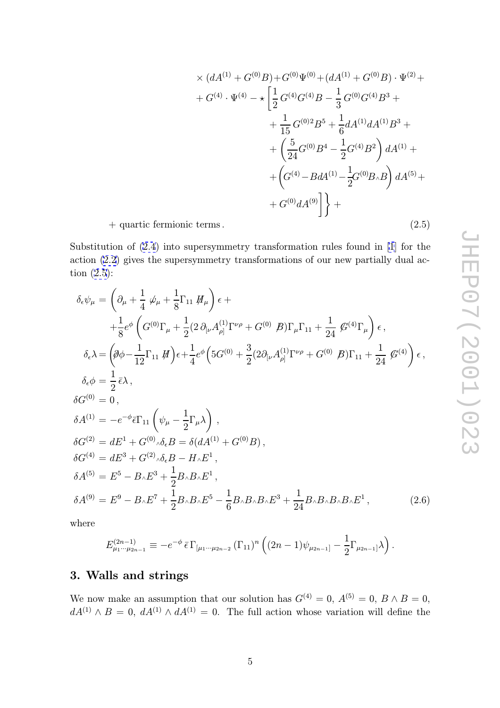$$
\times (dA^{(1)} + G^{(0)}B) + G^{(0)}\Psi^{(0)} + (dA^{(1)} + G^{(0)}B) \cdot \Psi^{(2)} +
$$
  
+  $G^{(4)} \cdot \Psi^{(4)} - \star \left[ \frac{1}{2} G^{(4)}G^{(4)}B - \frac{1}{3} G^{(0)}G^{(4)}B^3 +$   
+  $\frac{1}{15} G^{(0)2}B^5 + \frac{1}{6} dA^{(1)}dA^{(1)}B^3 +$   
+  $\left( \frac{5}{24} G^{(0)}B^4 - \frac{1}{2} G^{(4)}B^2 \right) dA^{(1)} +$   
+  $\left( G^{(4)} - B dA^{(1)} - \frac{1}{2} G^{(0)}B_{\wedge}B \right) dA^{(5)} +$   
+  $G^{(0)} dA^{(9)} \right] +$   
terms. (2.5)

+ quartic fermionic terms.

Substitution of (2.4) into supersymmetry transformation rules found in [1] for the action (2.2) gives the supersymmetry transformations of our new partially dual action (2.5):

$$
\delta_{\epsilon}\psi_{\mu} = \left(\partial_{\mu} + \frac{1}{4}\psi_{\mu} + \frac{1}{8}\Gamma_{11}H_{\mu}\right)\epsilon +
$$
\n
$$
+ \frac{1}{8}e^{\phi}\left(G^{(0)}\Gamma_{\mu} + \frac{1}{2}(2\partial_{[\nu}A^{(1)}_{\rho]}\Gamma^{\nu\rho} + G^{(0)}\beta)\Gamma_{\mu}\Gamma_{11} + \frac{1}{24}\mathcal{G}^{(4)}\Gamma_{\mu}\right)\epsilon,
$$
\n
$$
\delta_{\epsilon}\lambda = \left(\partial\phi - \frac{1}{12}\Gamma_{11}H\right)\epsilon + \frac{1}{4}e^{\phi}\left(5G^{(0)} + \frac{3}{2}(2\partial_{[\nu}A^{(1)}_{\rho]}\Gamma^{\nu\rho} + G^{(0)}\beta)\Gamma_{11} + \frac{1}{24}\mathcal{G}^{(4)}\right)\epsilon,
$$
\n
$$
\delta_{\epsilon}\phi = \frac{1}{2}\bar{\epsilon}\lambda,
$$
\n
$$
\delta G^{(0)} = 0,
$$
\n
$$
\delta A^{(1)} = -e^{-\phi}\bar{\epsilon}\Gamma_{11}\left(\psi_{\mu} - \frac{1}{2}\Gamma_{\mu}\lambda\right),
$$
\n
$$
\delta G^{(2)} = dE^{1} + G^{(0)}\delta_{\epsilon}B = \delta(dA^{(1)} + G^{(0)}B),
$$
\n
$$
\delta G^{(4)} = dE^{3} + G^{(2)}\delta_{\epsilon}B - H_{\lambda}E^{1},
$$
\n
$$
\delta A^{(5)} = E^{5} - B_{\lambda}E^{3} + \frac{1}{2}B_{\lambda}B_{\lambda}E^{1},
$$
\n
$$
\delta A^{(9)} = E^{9} - B_{\lambda}E^{7} + \frac{1}{2}B_{\lambda}B_{\lambda}E^{5} - \frac{1}{6}B_{\lambda}B_{\lambda}B_{\lambda}E^{3} + \frac{1}{24}B_{\lambda}B_{\lambda}B_{\lambda}E^{1},
$$
\n
$$
(2.6)
$$

where

$$
E^{(2n-1)}_{\mu_1\cdots\mu_{2n-1}} \equiv -e^{-\phi} \bar{\epsilon} \Gamma_{[\mu_1\cdots\mu_{2n-2}} (\Gamma_{11})^n \left( (2n-1)\psi_{\mu_{2n-1}} - \frac{1}{2} \Gamma_{\mu_{2n-1}} \right) \lambda \right).
$$

## 3. Walls and strings

We now make an assumption that our solution has  $G^{(4)} = 0$ ,  $A^{(5)} = 0$ ,  $B \wedge B = 0$ ,  $dA^{(1)} \wedge B = 0$ ,  $dA^{(1)} \wedge dA^{(1)} = 0$ . The full action whose variation will define the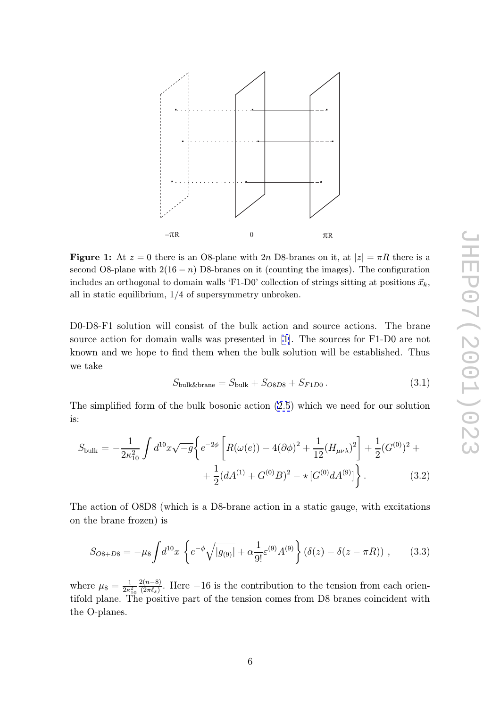<span id="page-6-0"></span>

**Figure 1:** At  $z = 0$  there is an O8-plane with 2n D8-branes on it, at  $|z| = \pi R$  there is a correct O8 plane with 2(16, s) D8 branes on it (counting the images). The configuration second O8-plane with  $2(16 - n)$  D8-branes on it (counting the images). The configuration includes an orthogonal to domain walls 'F1-D0' collection of strings sitting at positions  $\vec{x}_k$ , all in static equilibrium, 1/4 of supersymmetry unbroken.

D0-D8-F1 solution will consist of the bulk action and source actions. The brane source action for domain walls was presented in [1]. The sources for F1-D0 are not known and we hope to find them when the bulk solution will be established. Thus we take

$$
S_{\text{bulk\&brane}} = S_{\text{bulk}} + S_{\text{OSD8}} + S_{\text{F1D0}}.
$$
\n(3.1)

The simplified form of the bulk bosonic action (2.5) which we need for our solution is:

$$
S_{\text{bulk}} = -\frac{1}{2\kappa_{10}^2} \int d^{10}x \sqrt{-g} \left\{ e^{-2\phi} \left[ R(\omega(e)) - 4(\partial \phi)^2 + \frac{1}{12} (H_{\mu\nu\lambda})^2 \right] + \frac{1}{2} (G^{(0)})^2 + \frac{1}{2} (dA^{(1)} + G^{(0)}B)^2 - \star [G^{(0)}dA^{(9)}] \right\}.
$$
 (3.2)

The action of O8D8 (which is a D8-brane action in a static gauge, with excitations on the brane frozen) is

$$
S_{O8+D8} = -\mu_8 \int d^{10}x \left\{ e^{-\phi} \sqrt{|g_{(9)}|} + \alpha \frac{1}{9!} \varepsilon^{(9)} A^{(9)} \right\} (\delta(z) - \delta(z - \pi R)) ,\qquad (3.3)
$$

where  $\mu_8 = \frac{1}{2\kappa^2}$  $2\kappa_{10}^2$ tifold plane. The positive part of the tension comes from D8 branes coincident with  $\frac{2(n-8)}{(2\pi k)}$  $\frac{2(n-8)}{(2\pi\ell_s)}$ . Here -16 is the contribution to the tension from each orien-<br>specific part of the tension somes from D<sup>8</sup> branes soingident with the O-planes.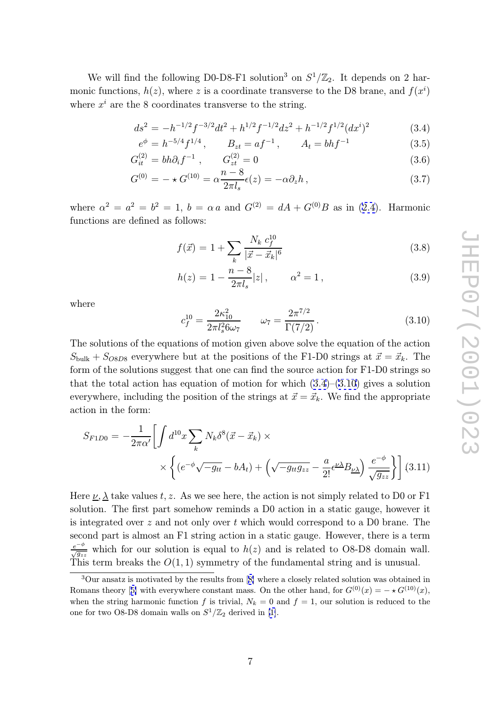<span id="page-7-0"></span>We will find the following D0-D8-F1 solution<sup>3</sup> on  $S^1/\mathbb{Z}_2$ . It depends on 2 harmonic functions,  $h(z)$ , where z is a coordinate transverse to the D8 brane, and  $f(x^i)$ where  $x^i$  are the 8 coordinates transverse to the string.

$$
ds^{2} = -h^{-1/2}f^{-3/2}dt^{2} + h^{1/2}f^{-1/2}dz^{2} + h^{-1/2}f^{1/2}(dx^{i})^{2}
$$
 (3.4)

$$
e^{\phi} = h^{-5/4} f^{1/4}, \qquad B_{zt} = af^{-1}, \qquad A_t = bh f^{-1}
$$
 (3.5)

$$
G_{it}^{(2)} = bh\partial_i f^{-1} , \qquad G_{zt}^{(2)} = 0
$$
 (3.6)

$$
G^{(0)} = -\star G^{(10)} = \alpha \frac{n-8}{2\pi l_s} \epsilon(z) = -\alpha \partial_z h \,, \tag{3.7}
$$

where  $\alpha^2 = a^2 = b^2 = 1$ ,  $b = \alpha a$  and  $G^{(2)} = dA + G^{(0)}B$  as in (2.4). Harmonic functions are defined as follows:

$$
f(\vec{x}) = 1 + \sum_{k} \frac{N_k \ c_f^{10}}{|\vec{x} - \vec{x}_k|^6}
$$
 (3.8)

$$
h(z) = 1 - \frac{n - 8}{2\pi l_s}|z|, \qquad \alpha^2 = 1,
$$
\n(3.9)

where

$$
c_f^{10} = \frac{2\kappa_{10}^2}{2\pi l_s^2 6\omega_7} \qquad \omega_7 = \frac{2\pi^{7/2}}{\Gamma(7/2)}.
$$
 (3.10)

The solutions of the equations of motion given above solve the equation of the action  $S_{\text{bulk}} + S_{\text{O8D8}}$  everywhere but at the positions of the F1-D0 strings at  $\vec{x} = \vec{x}_k$ . The form of the solutions suggest that one can find the source action for F1-D0 strings so that the total action has equation of motion for which  $(3.4)$ – $(3.10)$  gives a solution everywhere, including the position of the strings at  $\vec{x} = \vec{x}_k$ . We find the appropriate action in the form:

$$
S_{F1D0} = -\frac{1}{2\pi\alpha'} \left[ \int d^{10}x \sum_{k} N_{k} \delta^{8}(\vec{x} - \vec{x}_{k}) \times \right. \times \left\{ \left( e^{-\phi} \sqrt{-g_{tt}} - bA_{t} \right) + \left( \sqrt{-g_{tt}g_{zz}} - \frac{a}{2!} \epsilon^{\nu \lambda} B_{\nu \lambda} \right) \frac{e^{-\phi}}{\sqrt{g_{zz}}} \right\} \right] (3.11)
$$

Here  $\underline{\nu}, \underline{\lambda}$  take values t, z. As we see here, the action is not simply related to D0 or F1 solution. The first part somehow reminds a D0 action in a static gauge, however it is integrated over z and not only over t which would correspond to a D0 brane. The second part is almost an F1 string action in a static gauge. However, there is a term  $\frac{e^{-\phi}}{\sqrt{g_{zz}}}$  which for our solution is equal to  $h(z)$  and is related to O8-D8 domain wall. This term breaks the  $O(1, 1)$  symmetry of the fundamental string and is unusual.

<sup>3</sup>Our ansatz is motivated by the results from [8] where a closely related solution was obtained in Romans theory [5] with everywhere constant mass. On the other hand, for  $G^{(0)}(x) = -\star G^{(10)}(x)$ , when the string harmonic function f is trivial,  $N_k = 0$  and  $f = 1$ , our solution is reduced to the one for two O8-D8 domain walls on  $S^1/\mathbb{Z}_2$  deriv[ed](#page-12-0) in [1].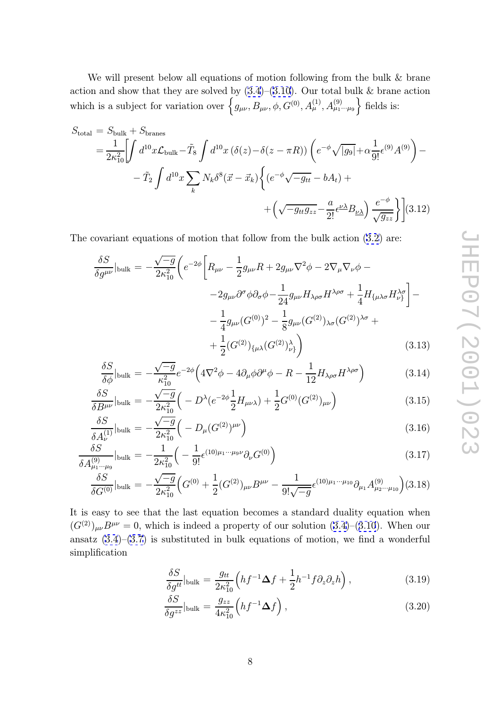<span id="page-8-0"></span>We will present below all equations of motion following from the bulk & brane action and show that they are solved by  $(3.4)$ – $(3.10)$ . Our total bulk & brane action which is a subject for variation over  $\left\{g_{\mu\nu}, B_{\mu\nu}, \phi, G^{(0)}, A^{(1)}_{\mu}, A^{(9)}_{\mu_1\cdots\mu_9}\right\}$  fields is:

$$
S_{\text{total}} = S_{\text{bulk}} + S_{\text{branes}} = \frac{1}{2\kappa_{10}^2} \left[ \int d^{10}x \mathcal{L}_{\text{bulk}} - \tilde{T}_{8} \int d^{10}x (\delta(z) - \delta(z - \pi R)) \left( e^{-\phi} \sqrt{|g_9|} + \alpha \frac{1}{9!} \epsilon^{(9)} A^{(9)} \right) - \right. - \tilde{T}_{2} \int d^{10}x \sum_{k} N_{k} \delta^{8} (\vec{x} - \vec{x}_{k}) \left\{ \left( e^{-\phi} \sqrt{-g_{tt}} - bA_{t} \right) + \right. + \left( \sqrt{-g_{tt}g_{zz}} - \frac{a}{2!} \epsilon^{\underline{\nu} \underline{\lambda}} B_{\underline{\nu} \underline{\lambda}} \right) \frac{e^{-\phi}}{\sqrt{g_{zz}}} \right\} \bigg](3.12)
$$

The covariant equations of motion that follow from the bulk action (3.2) are:

$$
\frac{\delta S}{\delta g^{\mu\nu}}|_{\text{bulk}} = -\frac{\sqrt{-g}}{2\kappa_{10}^2} \left( e^{-2\phi} \left[ R_{\mu\nu} - \frac{1}{2} g_{\mu\nu} R + 2 g_{\mu\nu} \nabla^2 \phi - 2 \nabla_{\mu} \nabla_{\nu} \phi - 2 g_{\mu\nu} \partial^{\sigma} \phi \partial_{\sigma} \phi - \frac{1}{24} g_{\mu\nu} H_{\lambda\rho\sigma} H^{\lambda\rho\sigma} + \frac{1}{4} H_{\{\mu\lambda\sigma} H^{\lambda\sigma}_{\nu\}} \right] - 2 g_{\mu\nu} (G^{(0)})^2 - \frac{1}{8} g_{\mu\nu} (G^{(2)})_{\lambda\sigma} (G^{(2)})^{\lambda\sigma} + 2 \left[ G^{(2)} \right]_{\{\mu\lambda\}} (G^{(2)})^{\lambda\sigma} \right) \tag{3.13}
$$

$$
\frac{\delta S}{\delta \phi}|_{\text{bulk}} = -\frac{\sqrt{-g}}{\kappa_{10}^2} e^{-2\phi} \left( 4\nabla^2 \phi - 4\partial_\mu \phi \partial^\mu \phi - R - \frac{1}{12} H_{\lambda \rho \sigma} H^{\lambda \rho \sigma} \right) \tag{3.14}
$$

$$
\frac{\delta S}{\delta B^{\mu\nu}}|_{\text{bulk}} = -\frac{\sqrt{-g}}{2\kappa_{10}^2} \left( -D^\lambda (e^{-2\phi} \frac{1}{2} H_{\mu\nu\lambda}) + \frac{1}{2} G^{(0)} (G^{(2)})_{\mu\nu} \right) \tag{3.15}
$$

$$
\frac{\delta S}{\delta A_{\nu}^{(1)}}\Big|_{\text{bulk}} = -\frac{\sqrt{-g}}{2\kappa_{10}^2} \Big( -D_{\mu} (G^{(2)})^{\mu \nu} \Big) \tag{3.16}
$$

$$
\frac{\delta S}{\delta A_{\mu_1 \cdots \mu_9}^{(9)}}|_{\text{bulk}} = -\frac{1}{2\kappa_{10}^2} \left( -\frac{1}{9!} \epsilon^{(10)\mu_1 \cdots \mu_9 \nu} \partial_{\nu} G^{(0)} \right)
$$
(3.17)

$$
\frac{\delta S}{\delta G^{(0)}}|_{\text{bulk}} = -\frac{\sqrt{-g}}{2\kappa_{10}^2} \Big( G^{(0)} + \frac{1}{2} (G^{(2)})_{\mu\nu} B^{\mu\nu} - \frac{1}{9! \sqrt{-g}} \epsilon^{(10)\mu_1 \cdots \mu_{10}} \partial_{\mu_1} A^{(9)}_{\mu_2 \cdots \mu_{10}} \Big) (3.18)
$$

It is easy to see that the last equation becomes a standard duality equation when  $(G^{(2)})_{\mu\nu}B^{\mu\nu} = 0$ , which is indeed a property of our solution  $(3.4)$ – $(3.10)$ . When our ansatz  $(3.4)$ – $(3.7)$  is substituted in bulk equations of motion, we find a wonderful simplification

$$
\frac{\delta S}{\delta g^{tt}}|_{\text{bulk}} = \frac{g_{tt}}{2\kappa_{10}^2} \left( h f^{-1} \Delta f + \frac{1}{2} h^{-1} f \partial_z \partial_z h \right), \tag{3.19}
$$

$$
\frac{\delta S}{\delta g^{zz}}|_{\text{bulk}} = \frac{g_{zz}}{4\kappa_{10}^2} \left( h f^{-1} \Delta f \right),\tag{3.20}
$$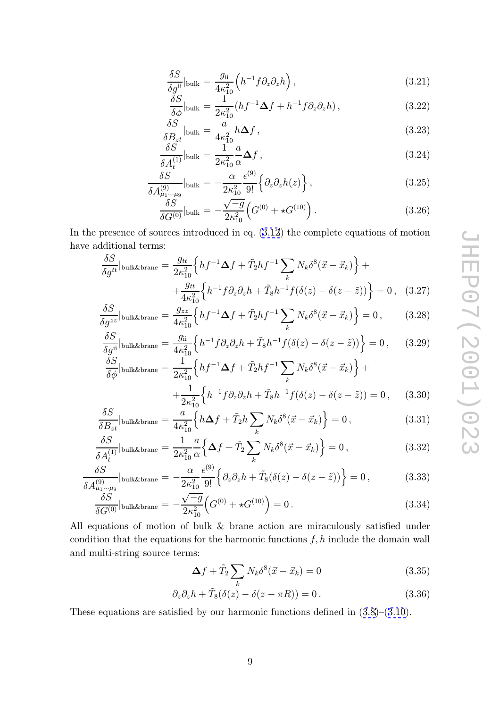$$
\frac{\delta S}{\delta g^{ii}}|_{\text{bulk}} = \frac{g_{ii}}{4\kappa_{10}^2} \left( h^{-1} f \partial_z \partial_z h \right),\tag{3.21}
$$

$$
\frac{\delta S}{\delta \phi}|_{\text{bulk}} = \frac{1}{2\kappa_{10}^2} (hf^{-1}\Delta f + h^{-1} f \partial_z \partial_z h) ,\qquad (3.22)
$$

$$
\frac{\delta S}{\delta B_{zt}}|_{\text{bulk}} = \frac{a}{4\kappa_{10}^2} h \Delta f ,\qquad(3.23)
$$

$$
\frac{\delta S}{\delta A_t^{(1)}}|_{\text{bulk}} = \frac{1}{2\kappa_{10}^2} \frac{a}{\alpha} \Delta f , \qquad (3.24)
$$

$$
\frac{\delta S}{\delta A_{\mu_1\cdots\mu_9}^{(9)}}\Big|_{\text{bulk}} = -\frac{\alpha}{2\kappa_{10}^2} \frac{\epsilon^{(9)}}{9!} \Big\{\partial_z\partial_z h(z)\Big\} \,,\tag{3.25}
$$

$$
\frac{\delta S}{\delta G^{(0)}}\Big|_{\text{bulk}} = -\frac{\sqrt{-g}}{2\kappa_{10}^2} \Big( G^{(0)} + \star G^{(10)} \Big) \,. \tag{3.26}
$$

In the presence of sources introduced in eq. (3.12) the complete equations of motion have additional terms:

$$
\frac{\delta S}{\delta g^{tt}}\Big|_{\text{bulk\&brane}} = \frac{g_{tt}}{2\kappa_{10}^2} \Big\{ h f^{-1} \Delta f + \tilde{T}_2 h f^{-1} \sum_k N_k \delta^8 (\vec{x} - \vec{x}_k) \Big\} + \n+ \frac{g_{tt}}{4\kappa_{10}^2} \Big\{ h^{-1} f \partial_z \partial_z h + \tilde{T}_8 h^{-1} f (\delta(z) - \delta(z - \tilde{z})) \Big\} = 0 , \quad (3.27)
$$

$$
\frac{\delta S}{\delta g^{zz}}\Big|_{\text{bulk\&brane}} = \frac{g_{zz}}{4\kappa_{10}^2} \Big\{ h f^{-1} \Delta f + \tilde{T}_2 h f^{-1} \sum_k N_k \delta^8(\vec{x} - \vec{x}_k) \Big\} = 0 \,, \tag{3.28}
$$

$$
\frac{\delta S}{\delta g^{ii}}|_{\text{bulk\&brane}} = \frac{g_{ii}}{4\kappa_{10}^2} \left\{ h^{-1} f \partial_z \partial_z h + \tilde{T}_8 h^{-1} f(\delta(z) - \delta(z - \tilde{z})) \right\} = 0, \quad (3.29)
$$

$$
\frac{\delta S}{\delta \phi}|_{\text{bulk\&brane}} = \frac{1}{2\kappa_{10}^2} \left\{ h f^{-1} \Delta f + \tilde{T}_2 h f^{-1} \sum_k N_k \delta^8(\vec{x} - \vec{x}_k) \right\} + \n+ \frac{1}{2\kappa_{10}^2} \left\{ h^{-1} f \partial_z \partial_z h + \tilde{T}_8 h^{-1} f(\delta(z) - \delta(z - \tilde{z})) = 0 , \quad (3.30)
$$

$$
\frac{\delta S}{\delta B_{zt}}\Big|_{\text{bulk\&brane}} = \frac{a}{4\kappa_{10}^2} \Big\{ h\Delta f + \tilde{T}_2 h \sum_k N_k \delta^8(\vec{x} - \vec{x}_k) \Big\} = 0 \,,\tag{3.31}
$$

$$
\frac{\delta B_{zt}}{\delta A_t^{(1)}}\Big|_{\text{bulk&brane}} = \frac{1}{2\kappa_{10}^2} \frac{a}{\alpha} \left\{ \Delta f + \tilde{T}_2 \sum_k N_k \delta^8(\vec{x} - \vec{x}_k) \right\} = 0, \tag{3.32}
$$

$$
\frac{\delta S}{\delta A_{\mu_1\cdots\mu_9}^{(9)}}\Big|_{\text{bulk\&brane}} = -\frac{\alpha}{2\kappa_{10}^2} \frac{\epsilon^{(9)}}{9!} \Big\{ \partial_z \partial_z h + \tilde{T}_8 (\delta(z) - \delta(z - \tilde{z})) \Big\} = 0, \tag{3.33}
$$

$$
\frac{\delta S}{\delta G^{(0)}}|_{\text{bulk\&brane}} = -\frac{\sqrt{-g}}{2\kappa_{10}^2} \left( G^{(0)} + \star G^{(10)} \right) = 0. \tag{3.34}
$$

All equations of motion of bulk & brane action are miraculously satisfied under condition that the equations for the harmonic functions  $f, h$  include the domain wall and multi-string source terms:

$$
\Delta f + \tilde{T}_2 \sum_k N_k \delta^8(\vec{x} - \vec{x}_k) = 0 \tag{3.35}
$$

$$
\partial_z \partial_z h + \tilde{T}_8(\delta(z) - \delta(z - \pi R)) = 0.
$$
 (3.36)

These equations are satisfied by our harmonic functions defined in (3.8)–(3.10).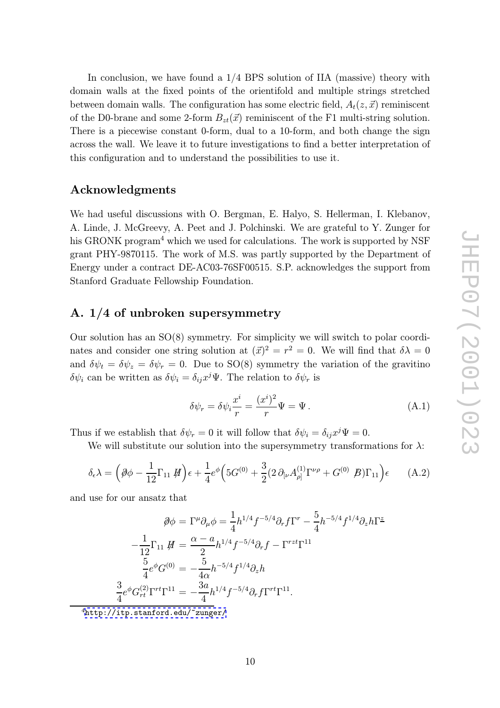In conclusion, we have found a 1/4 BPS solution of IIA (massive) theory with domain walls at the fixed points of the orientifold and multiple strings stretched between domain walls. The configuration has some electric field,  $A_t(z, \vec{x})$  reminiscent of the D0-brane and some 2-form  $B_{zt}(\vec{x})$  reminiscent of the F1 multi-string solution. There is a piecewise constant 0-form, dual to a 10-form, and both change the sign across the wall. We leave it to future investigations to find a better interpretation of this configuration and to understand the possibilities to use it.

### Acknowledgments

We had useful discussions with O. Bergman, E. Halyo, S. Hellerman, I. Klebanov, A. Linde, J. McGreevy, A. Peet and J. Polchinski. We are grateful to Y. Zunger for his GRONK program<sup>4</sup> which we used for calculations. The work is supported by NSF grant PHY-9870115. The work of M.S. was partly supported by the Department of Energy under a contract DE-AC03-76SF00515. S.P. acknowledges the support from Stanford Graduate Fellowship Foundation.

# A. 1/4 of unbroken supersymmetry

Our solution has an SO(8) symmetry. For simplicity we will switch to polar coordinates and consider one string solution at  $(\vec{x})^2 = r^2 = 0$ . We will find that  $\delta \lambda = 0$ and  $\delta \psi_t = \delta \psi_z = \delta \psi_r = 0$ . Due to SO(8) symmetry the variation of the gravitino  $\delta\psi_i$  can be written as  $\delta\psi_i = \delta_{ij}x^j\Psi$ . The relation to  $\delta\psi_r$  is

$$
\delta\psi_r = \delta\psi_i \frac{x^i}{r} = \frac{(x^i)^2}{r} \Psi = \Psi.
$$
 (A.1)

Thus if we establish that  $\delta \psi_r = 0$  it will follow that  $\delta \psi_i = \delta_{ij} x^j \Psi = 0$ .

We will substitute our solution into the supersymmetry transformations for  $\lambda$ :

$$
\delta_{\epsilon}\lambda = \left(\partial\phi - \frac{1}{12}\Gamma_{11} \not H\right)\epsilon + \frac{1}{4}e^{\phi}\left(5G^{(0)} + \frac{3}{2}(2\partial_{\lbrack\nu}A^{(1)}_{\rho\rbrack}\Gamma^{\nu\rho} + G^{(0)} \not B)\Gamma_{11}\right)\epsilon \qquad (A.2)
$$

and use for our ansatz that

$$
\emptyset \phi = \Gamma^{\mu} \partial_{\mu} \phi = \frac{1}{4} h^{1/4} f^{-5/4} \partial_r f \Gamma^r - \frac{5}{4} h^{-5/4} f^{1/4} \partial_z h \Gamma^{\underline{z}}
$$

$$
-\frac{1}{12} \Gamma_{11} \not\!H = \frac{\alpha - a}{2} h^{1/4} f^{-5/4} \partial_r f - \Gamma^{rzt} \Gamma^{11}
$$

$$
\frac{5}{4} e^{\phi} G^{(0)} = -\frac{5}{4\alpha} h^{-5/4} f^{1/4} \partial_z h
$$

$$
\frac{3}{4} e^{\phi} G^{(2)}_{rt} \Gamma^{rt} \Gamma^{11} = -\frac{3a}{4} h^{1/4} f^{-5/4} \partial_r f \Gamma^{rt} \Gamma^{11}.
$$

<sup>4</sup>http://itp.stanford.edu/~zunger/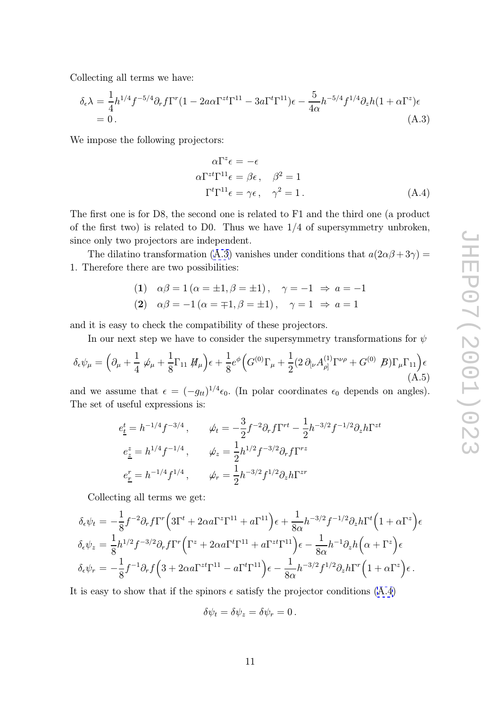Collecting all terms we have:

$$
\delta_{\epsilon}\lambda = \frac{1}{4}h^{1/4}f^{-5/4}\partial_r f\Gamma^r (1 - 2a\alpha\Gamma^{zt}\Gamma^{11} - 3a\Gamma^t\Gamma^{11})\epsilon - \frac{5}{4\alpha}h^{-5/4}f^{1/4}\partial_z h(1 + \alpha\Gamma^z)\epsilon
$$
  
= 0. (A.3)

We impose the following projectors:

$$
\alpha \Gamma^z \epsilon = -\epsilon
$$
  
\n
$$
\alpha \Gamma^{zt} \Gamma^{11} \epsilon = \beta \epsilon, \quad \beta^2 = 1
$$
  
\n
$$
\Gamma^t \Gamma^{11} \epsilon = \gamma \epsilon, \quad \gamma^2 = 1.
$$
\n(A.4)

The first one is for D8, the second one is related to F1 and the third one (a product of the first two) is related to D0. Thus we have 1/4 of supersymmetry unbroken, since only two projectors are independent.

The dilatino transformation (A.3) vanishes under conditions that  $a(2\alpha\beta + 3\gamma) =$ 1. Therefore there are two possibilities:

(1) 
$$
\alpha\beta = 1 (\alpha = \pm 1, \beta = \pm 1), \quad \gamma = -1 \Rightarrow a = -1
$$
  
(2)  $\alpha\beta = -1 (\alpha = \mp 1, \beta = \pm 1), \quad \gamma = 1 \Rightarrow a = 1$ 

and it is easy to check the compatibility of these projectors.

In our next step we have to consider the supersymmetry transformations for  $\psi$ 

$$
\delta_{\epsilon}\psi_{\mu} = \left(\partial_{\mu} + \frac{1}{4}\,\psi_{\mu} + \frac{1}{8}\Gamma_{11}\,\mathcal{H}_{\mu}\right)\epsilon + \frac{1}{8}e^{\phi}\Big(G^{(0)}\Gamma_{\mu} + \frac{1}{2}(2\,\partial_{[\nu}A^{(1)}_{\rho]}\Gamma^{\nu\rho} + G^{(0)}\,\mathcal{B})\Gamma_{\mu}\Gamma_{11}\Big)\epsilon\tag{A.5}
$$

and we assume that  $\epsilon = (-g_{tt})^{1/4} \epsilon_0$ . (In polar coordinates  $\epsilon_0$  depends on angles). The set of useful expressions is:

$$
e_{\underline{t}}^{t} = h^{-1/4} f^{-3/4} , \qquad \psi_{t} = -\frac{3}{2} f^{-2} \partial_{r} f \Gamma^{rt} - \frac{1}{2} h^{-3/2} f^{-1/2} \partial_{z} h \Gamma^{zt}
$$

$$
e_{\underline{z}}^{z} = h^{1/4} f^{-1/4} , \qquad \psi_{z} = \frac{1}{2} h^{1/2} f^{-3/2} \partial_{r} f \Gamma^{rz}
$$

$$
e_{\underline{r}}^{r} = h^{-1/4} f^{1/4} , \qquad \psi_{r} = \frac{1}{2} h^{-3/2} f^{1/2} \partial_{z} h \Gamma^{zr}
$$

Collecting all terms we get:

$$
\delta_{\epsilon}\psi_{t} = -\frac{1}{8}f^{-2}\partial_{r}f\Gamma^{r}\Big(3\Gamma^{t} + 2\alpha a\Gamma^{z}\Gamma^{11} + a\Gamma^{11}\Big)\epsilon + \frac{1}{8\alpha}h^{-3/2}f^{-1/2}\partial_{z}h\Gamma^{t}\Big(1 + \alpha\Gamma^{z}\Big)\epsilon
$$
  
\n
$$
\delta_{\epsilon}\psi_{z} = \frac{1}{8}h^{1/2}f^{-3/2}\partial_{r}f\Gamma^{r}\Big(\Gamma^{z} + 2\alpha a\Gamma^{t}\Gamma^{11} + a\Gamma^{z t}\Gamma^{11}\Big)\epsilon - \frac{1}{8\alpha}h^{-1}\partial_{z}h\Big(\alpha + \Gamma^{z}\Big)\epsilon
$$
  
\n
$$
\delta_{\epsilon}\psi_{r} = -\frac{1}{8}f^{-1}\partial_{r}f\Big(3 + 2\alpha a\Gamma^{z t}\Gamma^{11} - a\Gamma^{t}\Gamma^{11}\Big)\epsilon - \frac{1}{8\alpha}h^{-3/2}f^{1/2}\partial_{z}h\Gamma^{r}\Big(1 + \alpha\Gamma^{z}\Big)\epsilon.
$$

It is easy to show that if the spinors  $\epsilon$  satisfy the projector conditions  $(A.4)$ 

$$
\delta\psi_t = \delta\psi_z = \delta\psi_r = 0.
$$